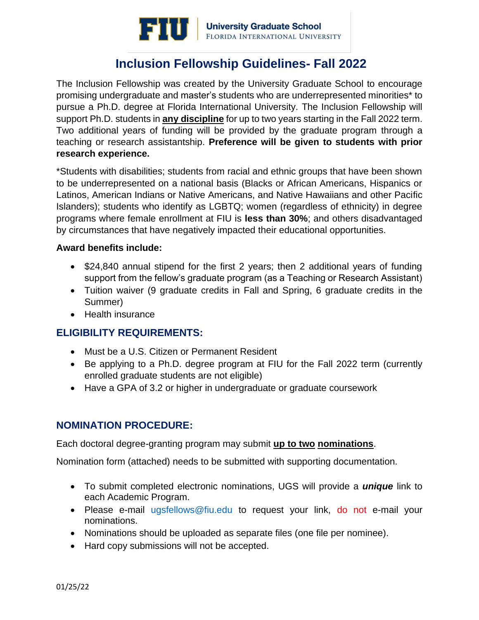

## **Inclusion Fellowship Guidelines- Fall 2022**

The Inclusion Fellowship was created by the University Graduate School to encourage promising undergraduate and master's students who are underrepresented minorities\* to pursue a Ph.D. degree at Florida International University. The Inclusion Fellowship will support Ph.D. students in **any discipline** for up to two years starting in the Fall 2022 term. Two additional years of funding will be provided by the graduate program through a teaching or research assistantship. **Preference will be given to students with prior research experience.**

\*Students with disabilities; students from racial and ethnic groups that have been shown to be underrepresented on a national basis (Blacks or African Americans, Hispanics or Latinos, American Indians or Native Americans, and Native Hawaiians and other Pacific Islanders); students who identify as LGBTQ; women (regardless of ethnicity) in degree programs where female enrollment at FIU is **less than 30%**; and others disadvantaged by circumstances that have negatively impacted their educational opportunities.

#### **Award benefits include:**

- \$24,840 annual stipend for the first 2 years; then 2 additional years of funding support from the fellow's graduate program (as a Teaching or Research Assistant)
- Tuition waiver (9 graduate credits in Fall and Spring, 6 graduate credits in the Summer)
- Health insurance

## **ELIGIBILITY REQUIREMENTS:**

- Must be a U.S. Citizen or Permanent Resident
- Be applying to a Ph.D. degree program at FIU for the Fall 2022 term (currently enrolled graduate students are not eligible)
- Have a GPA of 3.2 or higher in undergraduate or graduate coursework

## **NOMINATION PROCEDURE:**

Each doctoral degree-granting program may submit **up to two nominations**.

Nomination form (attached) needs to be submitted with supporting documentation.

- To submit completed electronic nominations, UGS will provide a *unique* link to each Academic Program.
- Please e-mail [ugsfellows@fiu.edu](mailto:ugsfellows@fiu.edu) to request your link, do not e-mail your nominations.
- Nominations should be uploaded as separate files (one file per nominee).
- Hard copy submissions will not be accepted.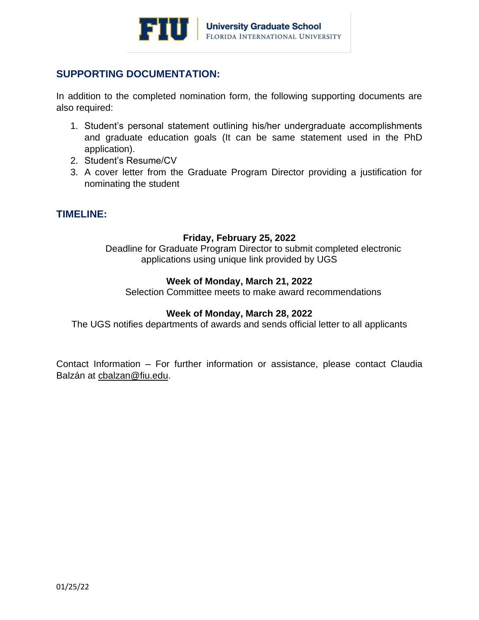

## **SUPPORTING DOCUMENTATION:**

In addition to the completed nomination form, the following supporting documents are also required:

- 1. Student's personal statement outlining his/her undergraduate accomplishments and graduate education goals (It can be same statement used in the PhD application).
- 2. Student's Resume/CV
- 3. A cover letter from the Graduate Program Director providing a justification for nominating the student

## **TIMELINE:**

#### **Friday, February 25, 2022**

Deadline for Graduate Program Director to submit completed electronic applications using unique link provided by UGS

#### **Week of Monday, March 21, 2022**

Selection Committee meets to make award recommendations

#### **Week of Monday, March 28, 2022**

The UGS notifies departments of awards and sends official letter to all applicants

Contact Information – For further information or assistance, please contact Claudia Balzán at [cbalzan@fiu.edu.](mailto:cbalzan@fiu.edu)